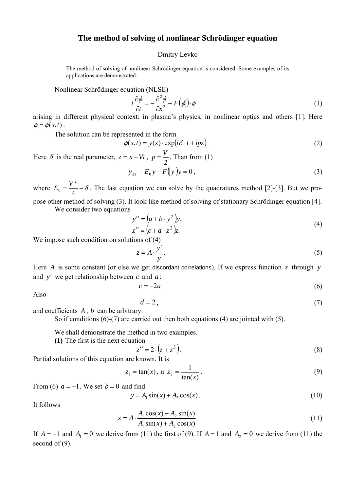## **The method of solving of nonlinear Schrödinger equation**

## Dmitry Levko

The method of solving of nonlinear Schrödinger equation is considered. Some examples of its applications are demonstrated.

Nonlinear Schrödinger equation (NLSE)

$$
i\frac{\partial\phi}{\partial t} = -\frac{\partial^2\phi}{\partial x^2} + F(|\phi|) \cdot \phi \tag{1}
$$

arising in different physical context: in plasma's physics, in nonlinear optics and others [1]. Here  $\phi = \phi(x,t)$ .

The solution can be represented in the form

$$
\phi(x,t) = y(z) \cdot \exp(i\delta \cdot t + ipz). \tag{2}
$$

Here  $\delta$  is the real parameter,  $z = x - Vt$ ,  $p = \frac{V}{2}$ . Than from (1)

$$
y_{zz} + E_0 y - F(y|y) = 0,
$$
\n(3)

where  $E_0 = \frac{V}{A} - \delta$ 4 2  $E_0 = \frac{V^2}{4} - \delta$ . The last equation we can solve by the quadratures method [2]-[3]. But we propose other method of solving (3). It look like method of solving of stationary Schrödinger equation [4].

We consider two equations

$$
y'' = (a+b \cdot y^2)y,z'' = (c+d \cdot z^2)z.
$$
 (4)

We impose such condition on solutions of (4)

$$
z = A \cdot \frac{y'}{y} \,. \tag{5}
$$

Here *A* is some constant (or else we get discordant correlations). If we express function  $z$  through  $y$ and y' we get relationship between c and  $a$ :

$$
c = -2a \tag{6}
$$

Also

$$
d=2\,,\tag{7}
$$

and coefficients *A* , *b* can be arbitrary.

So if conditions (6)-(7) are carried out then both equations (4) are jointed with (5).

We shall demonstrate the method in two examples.

**(1)** The first is the next equation

$$
z'' = 2 \cdot (z + z^3). \tag{8}
$$

Partial solutions of this equation are known. It is

$$
z_1 = \tan(x), u \ z_2 = \frac{1}{\tan(x)}.
$$
 (9)

From (6)  $a = -1$ . We set  $b = 0$  and find

$$
y = A_1 \sin(x) + A_2 \cos(x).
$$
 (10)

It follows

$$
z = A \cdot \frac{A_1 \cos(x) - A_2 \sin(x)}{A_1 \sin(x) + A_2 \cos(x)}.
$$
 (11)

If  $A = -1$  and  $A_1 = 0$  we derive from (11) the first of (9). If  $A = 1$  and  $A_2 = 0$  we derive from (11) the second of  $(9)$ .